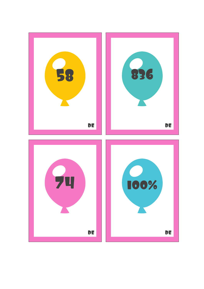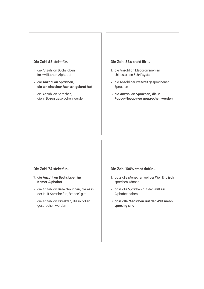# **Die Zahl 58 steht für…**

- 1. die Anzahl an Buchstaben im kyrillischen Alphabet
- **2. die Anzahl an Sprachen, die ein einzelner Mensch gelernt hat**
- 3. die Anzahl an Sprachen, die in Bozen gesprochen werden

#### **Die Zahl 836 steht für…**

- 1. die Anzahl an Ideogrammen im chinesischen Schriftsystem
- 2. die Anzahl der weltweit gesprochenen Sprachen
- **3. die Anzahl an Sprachen, die in Papua-Neuguinea gesprochen werden**

# **Die Zahl 74 steht für…**

- **1. die Anzahl an Buchstaben im Khmer-Alphabet**
- 2. die Anzahl an Bezeichnungen, die es in der Inuit-Sprache für "Schnee" gibt
- 3. die Anzahl an Dialekten, die in Italien gesprochen werden

#### **Die Zahl 100% steht dafür…**

- 1. dass alle Menschen auf der Welt Englisch sprechen können
- 2. dass alle Sprachen auf der Welt ein Alphabet haben
- **3. dass alle Menschen auf der Welt mehrsprachig sind**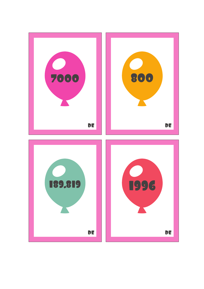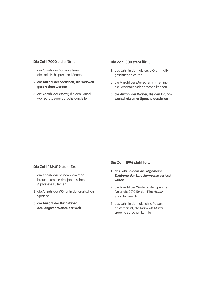### **Die Zahl 7000 steht für…**

- 1. die Anzahl der SüdtirolerInnen, die Ladinisch sprechen können
- **2. die Anzahl der Sprachen, die weltweit gesprochen werden**
- 3. die Anzahl der Wörter, die den Grundwortschatz einer Sprache darstellen

### **Die Zahl 800 steht für…**

- 1. das Jahr, in dem die erste Grammatik geschrieben wurde
- 2. die Anzahl der Menschen im Trentino, die Fersentalerisch sprechen können
- **3. die Anzahl der Wörter, die den Grundwortschatz einer Sprache darstellen**

#### **Die Zahl 189.819 steht für…**

- 1. die Anzahl der Stunden, die man braucht, um die drei japanischen Alphabete zu lernen
- 2. die Anzahl der Wörter in der englischen Sprache
- **3. die Anzahl der Buchstaben des längsten Wortes der Welt**

**Die Zahl 1996 steht für…**

- **1. das Jahr, in dem die Allgemeine Erklärung der Sprachenrechte verfasst wurde**
- 2. die Anzahl der Wörter in der Sprache Na'vi, die 2010 für den Film Avatar erfunden wurde
- 3. das Jahr, in dem die letzte Person gestorben ist, die Manx als Muttersprache sprechen konnte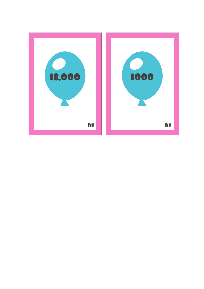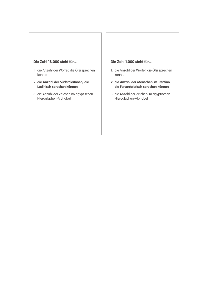## **Die Zahl 18.000 steht für…**

- 1. die Anzahl der Wörter, die Ötzi sprechen konnte
- **2. die Anzahl der SüdtirolerInnen, die Ladinisch sprechen können**
- 3. die Anzahl der Zeichen im ägyptischen Hieroglyphen-Alphabet

# **Die Zahl 1.000 steht für…**

- 1. die Anzahl der Wörter, die Ötzi sprechen konnte
- **2. die Anzahl der Menschen im Trentino, die Fersentalerisch sprechen können**
- 3. die Anzahl der Zeichen im ägyptischen Hieroglyphen-Alphabet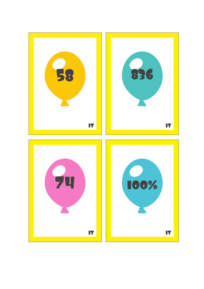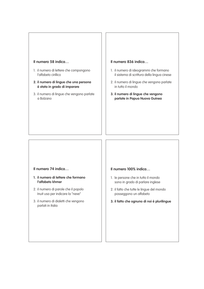#### **Il numero 58 indica…**

- 1. il numero di lettere che compongono l'alfabeto cirillico
- **2. il numero di lingue che una persona è stata in grado di imparare**
- 3. il numero di lingue che vengono parlate a Bolzano

#### **Il numero 836 indica…**

- 1. il numero di ideogrammi che formano il sistema di scrittura della lingua cinese
- 2. il numero di lingue che vengono parlate in tutto il mondo
- **3. il numero di lingue che vengono parlate in Papua Nuova Guinea**

## **Il numero 74 indica…**

- **1. il numero di lettere che formano l'alfabeto khmer**
- 2. il numero di parole che il popolo Inuit usa per indicare la "neve"
- 3. il numero di dialetti che vengono parlati in Italia

### **Il numero 100% indica…**

- 1. le persone che in tutto il mondo sono in grado di parlare inglese
- 2. il fatto che tutte le lingue del mondo posseggono un alfabeto
- **3. il fatto che ognuno di noi è plurilingue**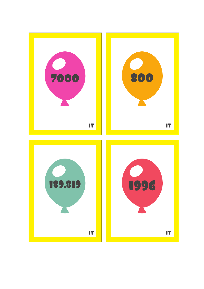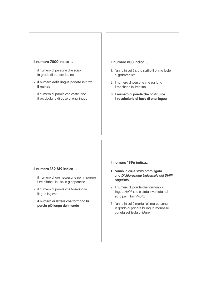## **Il numero 7000 indica…**

- 1. il numero di persone che sono in grado di parlare ladino
- **2. il numero delle lingue parlate in tutto il mondo**
- 3. il numero di parole che costituisce il vocabolario di base di una lingua

## **Il numero 800 indica…**

- 1. l'anno in cui è stato scritto il primo testo di grammatica
- 2. il numero di persone che parlano il mocheno in Trentino
- **3. il numero di parole che costituisce il vocabolario di base di una lingua**

## **Il numero 189.819 indica…**

- 1. il numero di ore necessarie per imparare i tre alfabeti in uso in giapponese
- 2. il numero di parole che formano la lingua inglese
- **3. il numero di lettere che formano la parola più lunga del mondo**

**Il numero 1996 indica…**

- **1. l'anno in cui è stata promulgata una Dichiarazione Universale dei Diritti Linguistici**
- 2. il numero di parole che formano la lingua Na'vi, che è stata inventata nel 2010 per il film Avatar
- 3. l'anno in cui è morta l'ultima persona in grado di parlare la lingua mannese, parlata sull'isola di Manx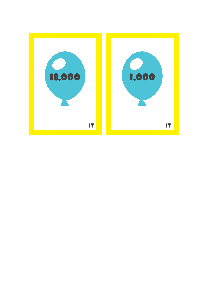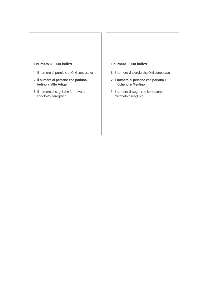# **Il numero 18.000 indica…**

- 1. il numero di parole che Ötzi conosceva
- **2. il numero di persone che parlano ladino in Alto Adige**
- 3. il numero di segni che formavano l'alfabeto geroglifico

# **Il numero 1.000 indica…**

- 1. il numero di parole che Ötzi conosceva
- **2. il numero di persone che parlano il mòcheno in Trentino**
- 3. il numero di segni che formavano l'alfabeto geroglifico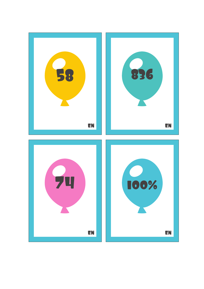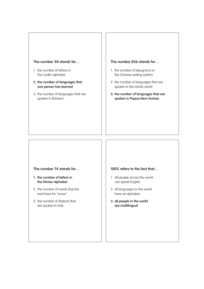### **The number 58 stands for…**

- 1. the number of letters in the Cyrillic alphabet
- **2. the number of languages that one person has learned**
- 3. the number of languages that are spoken in Bolzano

#### **The number 836 stands for…**

- 1. the number of ideograms in the Chinese writing system
- 2. the number of languages that are spoken in the whole world
- **3. the number of languages that are spoken in Papua New Guinea**

# **The number 74 stands for…**

- **1. the number of letters in the Khmer alphabet**
- 2. the number of words that the Inuit have for "snow"
- 3. the number of dialects that are spoken in Italy

#### **100% refers to the fact that…**

- 1. all people across the world can speak English
- 2. all languages in the world have an alphabet
- **3. all people in the world are multilingual**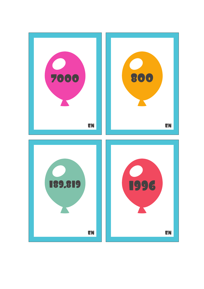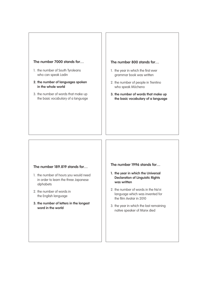#### **The number 7000 stands for…**

- 1. the number of South Tyroleans who can speak Ladin
- **2. the number of languages spoken in the whole world**
- 3. the number of words that make up the basic vocabulary of a language

#### **The number 800 stands for…**

- 1. the year in which the first ever grammar book was written
- 2. the number of people in Trentino who speak Mòcheno
- **3. the number of words that make up the basic vocabulary of a language**

### **The number 189.819 stands for…**

- 1. the number of hours you would need in order to learn the three Japanese alphabets
- 2. the number of words in the English language
- **3. the number of letters in the longest word in the world**

**The number 1996 stands for…**

- **1. the year in which the Universal Declaration of Linguistic Rights was written**
- 2. the number of words in the Na'vi language which was invented for the film Avatar in 2010
- 3. the year in which the last remaining native speaker of Manx died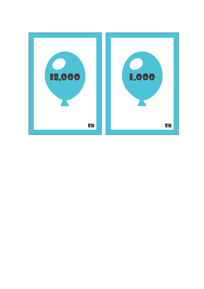